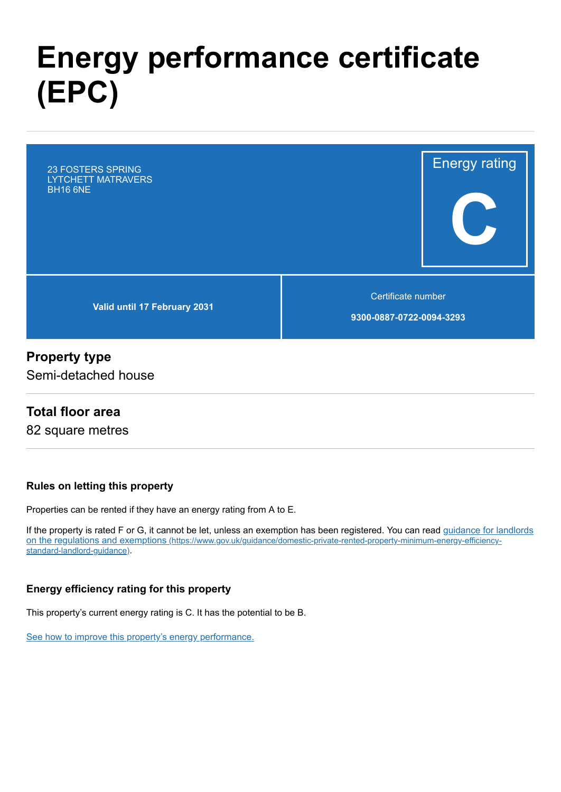# **Energy performance certificate (EPC)**

Energy rating **C Valid until 17 February 2031** Certificate number **9300-0887-0722-0094-3293** 23 FOSTERS SPRING LYTCHETT MATRAVERS BH16 6NE

## **Property type**

Semi-detached house

### **Total floor area**

82 square metres

#### **Rules on letting this property**

Properties can be rented if they have an energy rating from A to E.

[If the property is rated F or G, it cannot be let, unless an exemption has been registered. You can read guidance for landlords](https://www.gov.uk/guidance/domestic-private-rented-property-minimum-energy-efficiency-standard-landlord-guidance) on the regulations and exemptions (https://www.gov.uk/guidance/domestic-private-rented-property-minimum-energy-efficiencystandard-landlord-guidance).

#### **Energy efficiency rating for this property**

This property's current energy rating is C. It has the potential to be B.

[See how to improve this property's energy performance.](#page-3-0)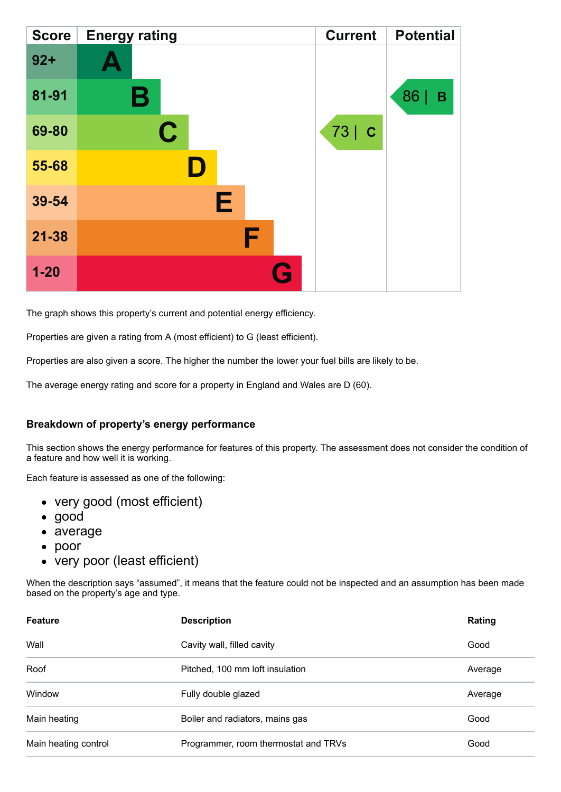| <b>Score</b> | <b>Energy rating</b> |   | <b>Current</b>      | <b>Potential</b> |
|--------------|----------------------|---|---------------------|------------------|
| $92 +$       |                      |   |                     |                  |
| 81-91        | Β                    |   |                     | 86<br>В          |
| 69-80        | $\mathbf C$          |   | $73$ $\overline{c}$ |                  |
| 55-68        |                      |   |                     |                  |
| 39-54        | Е                    |   |                     |                  |
| $21 - 38$    |                      | F |                     |                  |
| $1 - 20$     |                      | G |                     |                  |

The graph shows this property's current and potential energy efficiency.

Properties are given a rating from A (most efficient) to G (least efficient).

Properties are also given a score. The higher the number the lower your fuel bills are likely to be.

The average energy rating and score for a property in England and Wales are D (60).

#### **Breakdown of property's energy performance**

This section shows the energy performance for features of this property. The assessment does not consider the condition of a feature and how well it is working.

Each feature is assessed as one of the following:

- very good (most efficient)
- good
- average
- poor
- very poor (least efficient)

When the description says "assumed", it means that the feature could not be inspected and an assumption has been made based on the property's age and type.

| <b>Feature</b>       | <b>Description</b>                   | Rating  |
|----------------------|--------------------------------------|---------|
| Wall                 | Cavity wall, filled cavity           | Good    |
| Roof                 | Pitched, 100 mm loft insulation      | Average |
| Window               | Fully double glazed                  | Average |
| Main heating         | Boiler and radiators, mains gas      | Good    |
| Main heating control | Programmer, room thermostat and TRVs | Good    |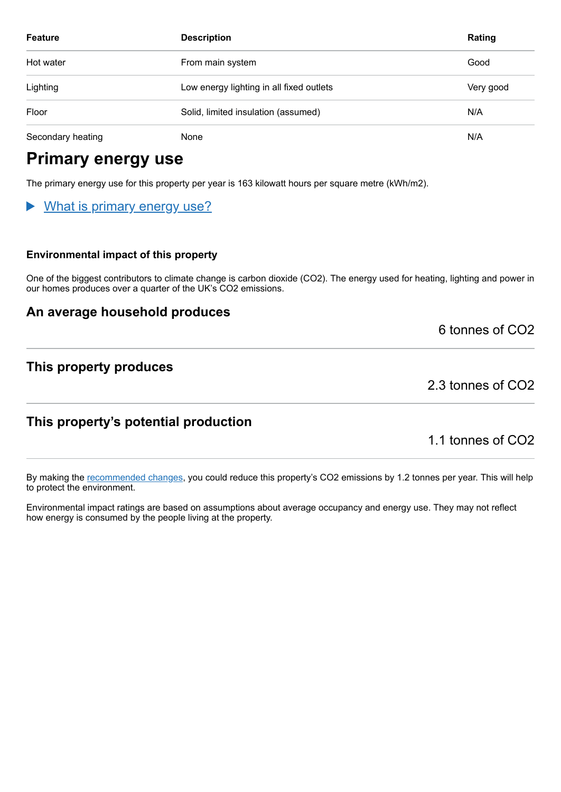| <b>Feature</b>    | <b>Description</b>                       | Rating    |
|-------------------|------------------------------------------|-----------|
| Hot water         | From main system                         | Good      |
| Lighting          | Low energy lighting in all fixed outlets | Very good |
| Floor             | Solid, limited insulation (assumed)      | N/A       |
| Secondary heating | None                                     | N/A       |

## **Primary energy use**

The primary energy use for this property per year is 163 kilowatt hours per square metre (kWh/m2).

### What is primary energy use?

#### **Environmental impact of this property**

One of the biggest contributors to climate change is carbon dioxide (CO2). The energy used for heating, lighting and power in our homes produces over a quarter of the UK's CO2 emissions.

### **An average household produces**

6 tonnes of CO2

### **This property produces**

2.3 tonnes of CO2

### **This property's potential production**

1.1 tonnes of CO2

By making the [recommended changes,](#page-3-0) you could reduce this property's CO2 emissions by 1.2 tonnes per year. This will help to protect the environment.

Environmental impact ratings are based on assumptions about average occupancy and energy use. They may not reflect how energy is consumed by the people living at the property.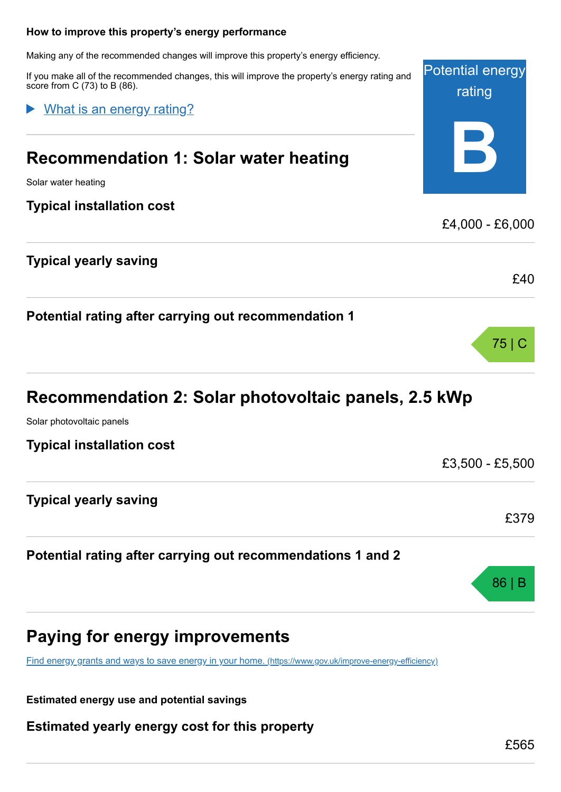## <span id="page-3-0"></span>Potential energy rating **B How to improve this property's energy performance** Making any of the recommended changes will improve this property's energy efficiency. If you make all of the recommended changes, this will improve the property's energy rating and score from C (73) to B (86). **Recommendation 1: Solar water heating** Solar water heating **Typical installation cost** £4,000 - £6,000 **Typical yearly saving** £40 What is an energy rating?

|  | Recommendation 2: Solar photovoltaic panels, 2.5 kWp |  |
|--|------------------------------------------------------|--|
|--|------------------------------------------------------|--|

Solar photovoltaic panels

**Typical installation cost**

**Typical yearly saving**

**Potential rating after carrying out recommendations 1 and 2**

**Potential rating after carrying out recommendation 1**

## **Paying for energy improvements**

[Find energy grants and ways to save energy in your home.](https://www.gov.uk/improve-energy-efficiency) (https://www.gov.uk/improve-energy-efficiency)

**Estimated energy use and potential savings**

**Estimated yearly energy cost for this property**

75 | C

£3,500 - £5,500

£379

86 | B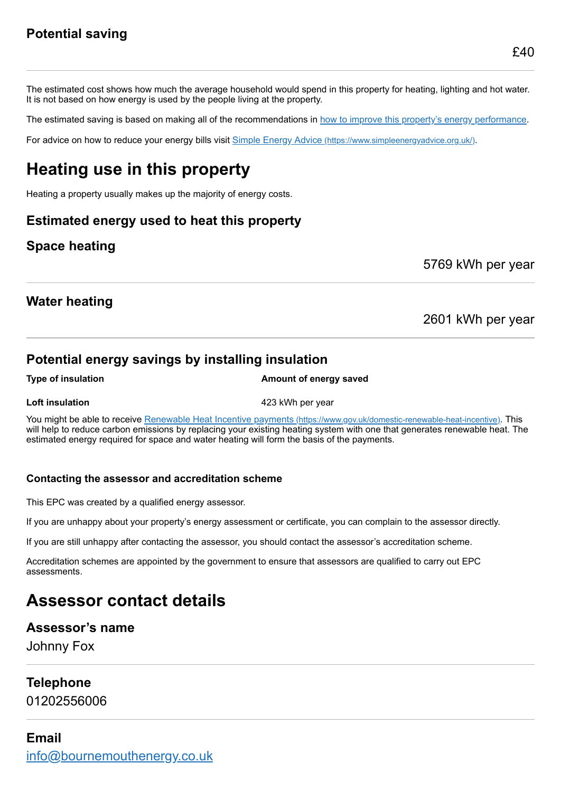The estimated cost shows how much the average household would spend in this property for heating, lighting and hot water. It is not based on how energy is used by the people living at the property.

The estimated saving is based on making all of the recommendations in [how to improve this property's energy performance.](#page-3-0)

For advice on how to reduce your energy bills visit Simple Energy Advice [\(https://www.simpleenergyadvice.org.uk/\)](https://www.simpleenergyadvice.org.uk/).

## **Heating use in this property**

Heating a property usually makes up the majority of energy costs.

### **Estimated energy used to heat this property**

## **Space heating**

5769 kWh per year

## **Water heating**

### 2601 kWh per year

## **Potential energy savings by installing insulation**

#### **Type of insulation Amount of energy saved**

**Loft insulation 123 kWh** per year

You might be able to receive Renewable Heat Incentive payments [\(https://www.gov.uk/domestic-renewable-heat-incentive\)](https://www.gov.uk/domestic-renewable-heat-incentive). This will help to reduce carbon emissions by replacing your existing heating system with one that generates renewable heat. The estimated energy required for space and water heating will form the basis of the payments.

#### **Contacting the assessor and accreditation scheme**

This EPC was created by a qualified energy assessor.

If you are unhappy about your property's energy assessment or certificate, you can complain to the assessor directly.

If you are still unhappy after contacting the assessor, you should contact the assessor's accreditation scheme.

Accreditation schemes are appointed by the government to ensure that assessors are qualified to carry out EPC assessments.

## **Assessor contact details**

### **Assessor's name**

Johnny Fox

### **Telephone**

01202556006

## **Email** [info@bournemouthenergy.co.uk](mailto:info@bournemouthenergy.co.uk)